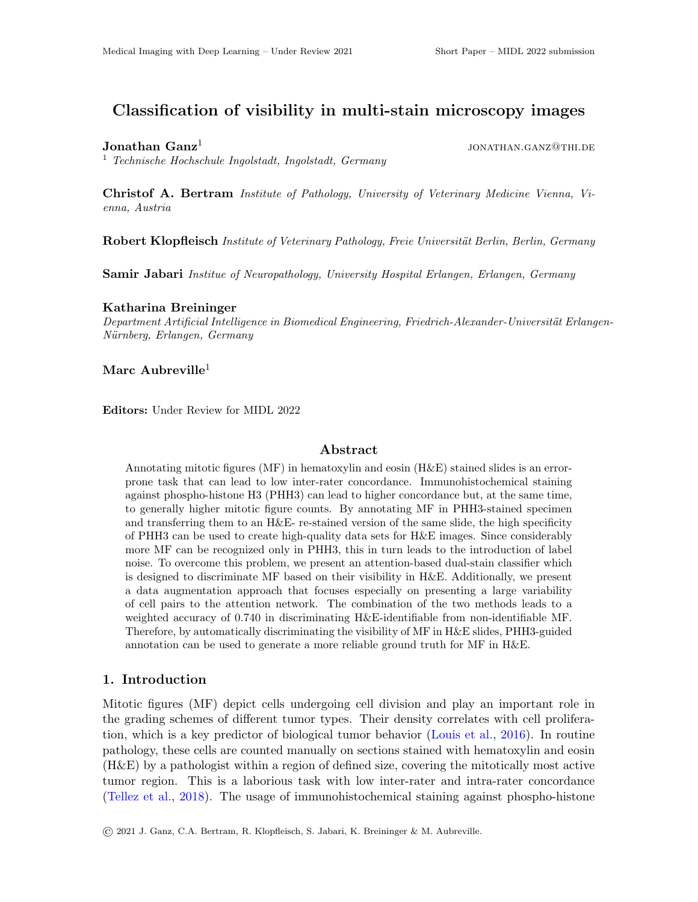# Classification of visibility in multi-stain microscopy images

# Jonathan  $\mathbf{Ganz}^1$

<sup>1</sup> Technische Hochschule Ingolstadt, Ingolstadt, Germany

Christof A. Bertram Institute of Pathology, University of Veterinary Medicine Vienna, Vienna, Austria

**Robert Klopfleisch** Institute of Veterinary Pathology, Freie Universität Berlin, Berlin, Germany

Samir Jabari Institue of Neuropathology, University Hospital Erlangen, Erlangen, Germany

#### Katharina Breininger

Department Artificial Intelligence in Biomedical Engineering, Friedrich-Alexander-Universität Erlangen-Nürnberg, Erlangen, Germany

#### Marc Aubreville<sup>1</sup>

Editors: Under Review for MIDL 2022

## Abstract

Annotating mitotic figures (MF) in hematoxylin and eosin (H&E) stained slides is an errorprone task that can lead to low inter-rater concordance. Immunohistochemical staining against phospho-histone H3 (PHH3) can lead to higher concordance but, at the same time, to generally higher mitotic figure counts. By annotating MF in PHH3-stained specimen and transferring them to an H&E- re-stained version of the same slide, the high specificity of PHH3 can be used to create high-quality data sets for H&E images. Since considerably more MF can be recognized only in PHH3, this in turn leads to the introduction of label noise. To overcome this problem, we present an attention-based dual-stain classifier which is designed to discriminate MF based on their visibility in H&E. Additionally, we present a data augmentation approach that focuses especially on presenting a large variability of cell pairs to the attention network. The combination of the two methods leads to a weighted accuracy of 0.740 in discriminating H&E-identifiable from non-identifiable MF. Therefore, by automatically discriminating the visibility of MF in H&E slides, PHH3-guided annotation can be used to generate a more reliable ground truth for MF in H&E.

### 1. Introduction

Mitotic figures (MF) depict cells undergoing cell division and play an important role in the grading schemes of different tumor types. Their density correlates with cell proliferation, which is a key predictor of biological tumor behavior [\(Louis et al.,](#page-2-0) [2016\)](#page-2-0). In routine pathology, these cells are counted manually on sections stained with hematoxylin and eosin (H&E) by a pathologist within a region of defined size, covering the mitotically most active tumor region. This is a laborious task with low inter-rater and intra-rater concordance [\(Tellez et al.,](#page-2-1) [2018\)](#page-2-1). The usage of immunohistochemical staining against phospho-histone

jonathan.ganz@thi.de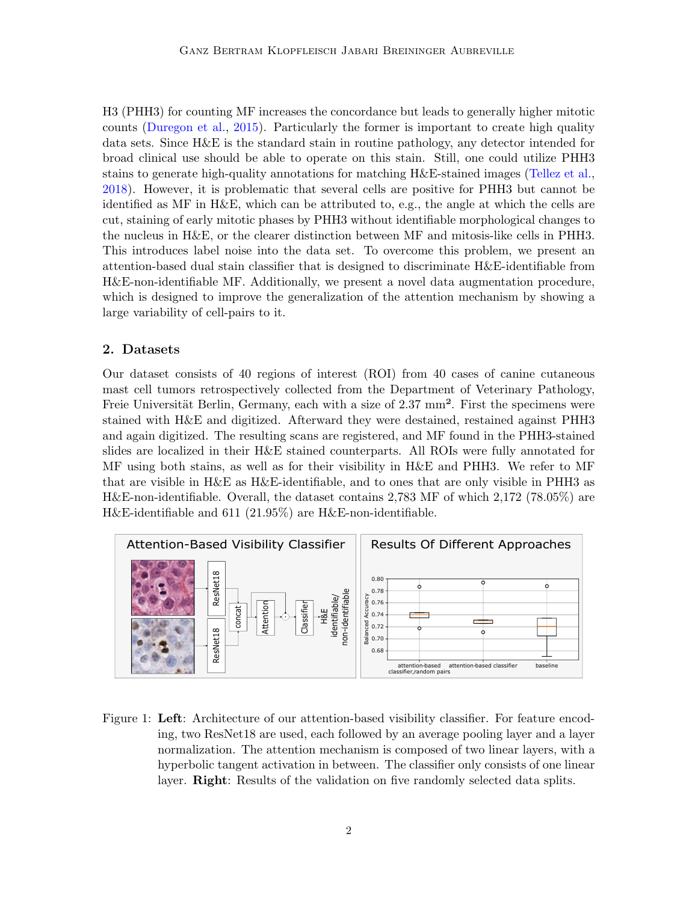H3 (PHH3) for counting MF increases the concordance but leads to generally higher mitotic counts [\(Duregon et al.,](#page-2-2) [2015\)](#page-2-2). Particularly the former is important to create high quality data sets. Since H&E is the standard stain in routine pathology, any detector intended for broad clinical use should be able to operate on this stain. Still, one could utilize PHH3 stains to generate high-quality annotations for matching H&E-stained images [\(Tellez et al.,](#page-2-1) [2018\)](#page-2-1). However, it is problematic that several cells are positive for PHH3 but cannot be identified as MF in H&E, which can be attributed to, e.g., the angle at which the cells are cut, staining of early mitotic phases by PHH3 without identifiable morphological changes to the nucleus in H&E, or the clearer distinction between MF and mitosis-like cells in PHH3. This introduces label noise into the data set. To overcome this problem, we present an attention-based dual stain classifier that is designed to discriminate H&E-identifiable from H&E-non-identifiable MF. Additionally, we present a novel data augmentation procedure, which is designed to improve the generalization of the attention mechanism by showing a large variability of cell-pairs to it.

#### 2. Datasets

Our dataset consists of 40 regions of interest (ROI) from 40 cases of canine cutaneous mast cell tumors retrospectively collected from the Department of Veterinary Pathology, Freie Universität Berlin, Germany, each with a size of  $2.37 \text{ mm}^2$ . First the specimens were stained with H&E and digitized. Afterward they were destained, restained against PHH3 and again digitized. The resulting scans are registered, and MF found in the PHH3-stained slides are localized in their H&E stained counterparts. All ROIs were fully annotated for MF using both stains, as well as for their visibility in H&E and PHH3. We refer to MF that are visible in H&E as H&E-identifiable, and to ones that are only visible in PHH3 as H&E-non-identifiable. Overall, the dataset contains 2,783 MF of which 2,172 (78.05%) are H&E-identifiable and 611 (21.95%) are H&E-non-identifiable.



<span id="page-1-0"></span>Figure 1: Left: Architecture of our attention-based visibility classifier. For feature encoding, two ResNet18 are used, each followed by an average pooling layer and a layer normalization. The attention mechanism is composed of two linear layers, with a hyperbolic tangent activation in between. The classifier only consists of one linear layer. **Right**: Results of the validation on five randomly selected data splits.